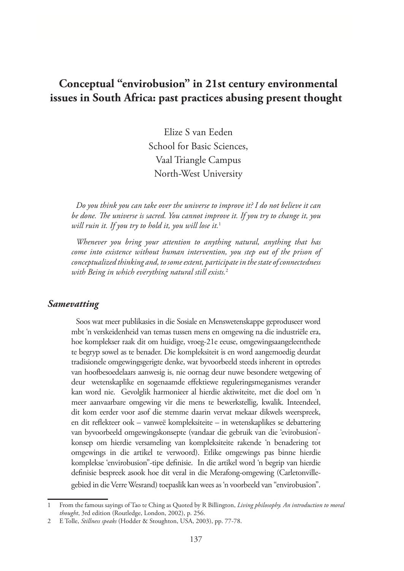# **Conceptual "envirobusion" in 21st century environmental issues in South Africa: past practices abusing present thought**

Elize S van Eeden School for Basic Sciences, Vaal Triangle Campus North-West University

*Do you think you can take over the universe to improve it? I do not believe it can be done. The universe is sacred. You cannot improve it. If you try to change it, you will ruin it. If you try to hold it, you will lose it.*<sup>1</sup>

*Whenever you bring your attention to anything natural, anything that has come into existence without human intervention, you step out of the prison of conceptualized thinking and, to some extent, participate in the state of connectedness with Being in which everything natural still exists.*<sup>2</sup>

#### *Samevatting*

Soos wat meer publikasies in die Sosiale en Menswetenskappe geproduseer word mbt 'n verskeidenheid van temas tussen mens en omgewing na die industriële era, hoe komplekser raak dit om huidige, vroeg-21e eeuse, omgewingsaangeleenthede te begryp sowel as te benader. Die kompleksiteit is en word aangemoedig deurdat tradisionele omgewingsgerigte denke, wat byvoorbeeld steeds inherent in optredes van hoofbesoedelaars aanwesig is, nie oornag deur nuwe besondere wetgewing of deur wetenskaplike en sogenaamde effektiewe reguleringsmeganismes verander kan word nie. Gevolglik harmonieer al hierdie aktiwiteite, met die doel om 'n meer aanvaarbare omgewing vir die mens te bewerkstellig, kwalik. Inteendeel, dit kom eerder voor asof die stemme daarin vervat mekaar dikwels weerspreek, en dit reflekteer ook – vanweë kompleksiteite – in wetenskaplikes se debattering van byvoorbeeld omgewingskonsepte (vandaar die gebruik van die 'evirobusion' konsep om hierdie versameling van kompleksiteite rakende 'n benadering tot omgewings in die artikel te verwoord). Etlike omgewings pas binne hierdie komplekse 'envirobusion"-tipe definisie. In die artikel word 'n begrip van hierdie definisie bespreek asook hoe dit veral in die Merafong-omgewing (Carletonvillegebied in die Verre Wesrand) toepaslik kan wees as 'n voorbeeld van "envirobusion".

<sup>1</sup> From the famous sayings of Tao te Ching as Quoted by R Billington, *Living philosophy. An introduction to moral thought*, 3rd edition (Routledge, London, 2002), p. 256.

<sup>2</sup> E Tolle, *Stillness speaks* (Hodder & Stoughton, USA, 2003), pp. 77-78.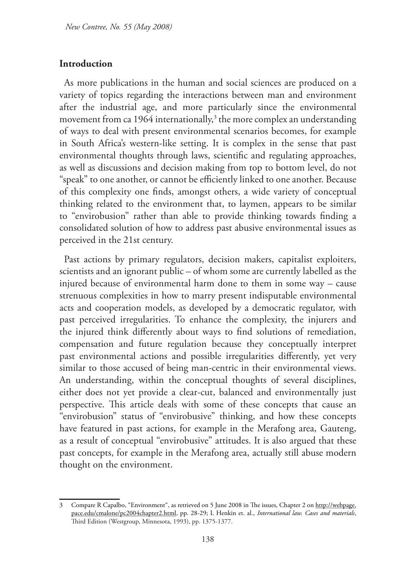## **Introduction**

As more publications in the human and social sciences are produced on a variety of topics regarding the interactions between man and environment after the industrial age, and more particularly since the environmental movement from ca 1964 internationally, $3$  the more complex an understanding of ways to deal with present environmental scenarios becomes, for example in South Africa's western-like setting. It is complex in the sense that past environmental thoughts through laws, scientific and regulating approaches, as well as discussions and decision making from top to bottom level, do not "speak" to one another, or cannot be efficiently linked to one another. Because of this complexity one finds, amongst others, a wide variety of conceptual thinking related to the environment that, to laymen, appears to be similar to "envirobusion" rather than able to provide thinking towards finding a consolidated solution of how to address past abusive environmental issues as perceived in the 21st century.

Past actions by primary regulators, decision makers, capitalist exploiters, scientists and an ignorant public – of whom some are currently labelled as the injured because of environmental harm done to them in some way – cause strenuous complexities in how to marry present indisputable environmental acts and cooperation models, as developed by a democratic regulator, with past perceived irregularities. To enhance the complexity, the injurers and the injured think differently about ways to find solutions of remediation, compensation and future regulation because they conceptually interpret past environmental actions and possible irregularities differently, yet very similar to those accused of being man-centric in their environmental views. An understanding, within the conceptual thoughts of several disciplines, either does not yet provide a clear-cut, balanced and environmentally just perspective. This article deals with some of these concepts that cause an "envirobusion" status of "envirobusive" thinking, and how these concepts have featured in past actions, for example in the Merafong area, Gauteng, as a result of conceptual "envirobusive" attitudes. It is also argued that these past concepts, for example in the Merafong area, actually still abuse modern thought on the environment.

<sup>3</sup> Compare R Capalbo, "Environment", as retrieved on 5 June 2008 in The issues, Chapter 2 on http://webpage. pace.edu/cmalone/pc2004chapter2.html, pp. 28-29; L Henkin et. al., *International law. Cases and materials*, Third Edition (Westgroup, Minnesota, 1993), pp. 1375-1377.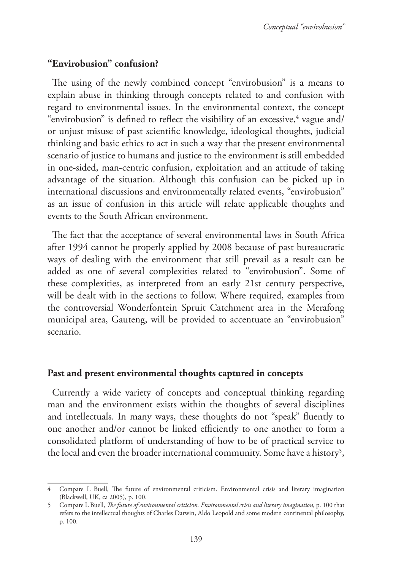### **"Envirobusion" confusion?**

The using of the newly combined concept "envirobusion" is a means to explain abuse in thinking through concepts related to and confusion with regard to environmental issues. In the environmental context, the concept "envirobusion" is defined to reflect the visibility of an excessive, $\rm ^4$  vague and/ or unjust misuse of past scientific knowledge, ideological thoughts, judicial thinking and basic ethics to act in such a way that the present environmental scenario of justice to humans and justice to the environment is still embedded in one-sided, man-centric confusion, exploitation and an attitude of taking advantage of the situation. Although this confusion can be picked up in international discussions and environmentally related events, "envirobusion" as an issue of confusion in this article will relate applicable thoughts and events to the South African environment.

The fact that the acceptance of several environmental laws in South Africa after 1994 cannot be properly applied by 2008 because of past bureaucratic ways of dealing with the environment that still prevail as a result can be added as one of several complexities related to "envirobusion". Some of these complexities, as interpreted from an early 21st century perspective, will be dealt with in the sections to follow. Where required, examples from the controversial Wonderfontein Spruit Catchment area in the Merafong municipal area, Gauteng, will be provided to accentuate an "envirobusion" scenario.

### **Past and present environmental thoughts captured in concepts**

Currently a wide variety of concepts and conceptual thinking regarding man and the environment exists within the thoughts of several disciplines and intellectuals. In many ways, these thoughts do not "speak" fluently to one another and/or cannot be linked efficiently to one another to form a consolidated platform of understanding of how to be of practical service to the local and even the broader international community. Some have a history<sup>5</sup>,

<sup>4</sup> Compare L Buell, The future of environmental criticism. Environmental crisis and literary imagination (Blackwell, UK, ca 2005), p. 100.

<sup>5</sup> Compare L Buell, *The future of environmental criticism. Environmental crisis and literary imagination*, p. 100 that refers to the intellectual thoughts of Charles Darwin, Aldo Leopold and some modern continental philosophy, p. 100.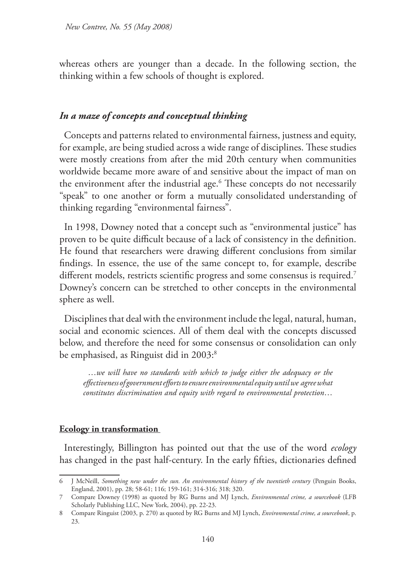whereas others are younger than a decade. In the following section, the thinking within a few schools of thought is explored.

## *In a maze of concepts and conceptual thinking*

Concepts and patterns related to environmental fairness, justness and equity, for example, are being studied across a wide range of disciplines. These studies were mostly creations from after the mid 20th century when communities worldwide became more aware of and sensitive about the impact of man on the environment after the industrial age.6 These concepts do not necessarily "speak" to one another or form a mutually consolidated understanding of thinking regarding "environmental fairness".

In 1998, Downey noted that a concept such as "environmental justice" has proven to be quite difficult because of a lack of consistency in the definition. He found that researchers were drawing different conclusions from similar findings. In essence, the use of the same concept to, for example, describe different models, restricts scientific progress and some consensus is required.<sup>7</sup> Downey's concern can be stretched to other concepts in the environmental sphere as well.

Disciplines that deal with the environment include the legal, natural, human, social and economic sciences. All of them deal with the concepts discussed below, and therefore the need for some consensus or consolidation can only be emphasised, as Ringuist did in 2003:<sup>8</sup>

…*we will have no standards with which to judge either the adequacy or the effectiveness of government efforts to ensure environmental equity until we agreewhat constitutes discrimination and equity with regard to environmental protection*…

## **Ecology in transformation**

Interestingly, Billington has pointed out that the use of the word *ecology* has changed in the past half-century. In the early fifties, dictionaries defined

<sup>6</sup> J McNeill, *Something new under the sun. An environmental history of the twentieth century* (Penguin Books, England, 2001), pp. 28; 58-61; 116; 159-161; 314-316; 318; 320.

<sup>7</sup> Compare Downey (1998) as quoted by RG Burns and MJ Lynch, *Environmental crime, a sourcebook* (LFB Scholarly Publishing LLC, New York, 2004), pp. 22-23.

<sup>8</sup> Compare Ringuist (2003, p. 270) as quoted by RG Burns and MJ Lynch, *Environmental crime, a sourcebook*, p. 23.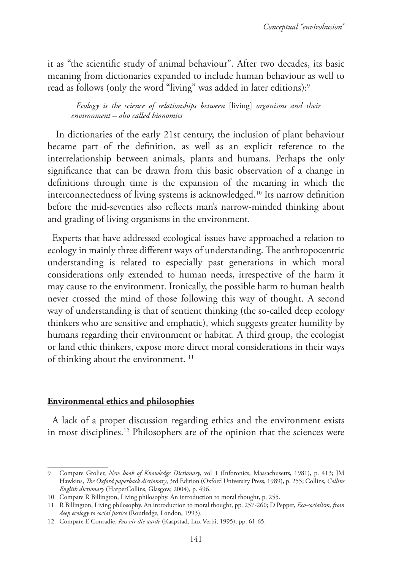it as "the scientific study of animal behaviour". After two decades, its basic meaning from dictionaries expanded to include human behaviour as well to read as follows (only the word "living" was added in later editions):<sup>9</sup>

*Ecology is the science of relationships between* [living] *organisms and their environment – also called bionomics*

In dictionaries of the early 21st century, the inclusion of plant behaviour became part of the definition, as well as an explicit reference to the interrelationship between animals, plants and humans. Perhaps the only significance that can be drawn from this basic observation of a change in definitions through time is the expansion of the meaning in which the interconnectedness of living systems is acknowledged.10 Its narrow definition before the mid-seventies also reflects man's narrow-minded thinking about and grading of living organisms in the environment.

Experts that have addressed ecological issues have approached a relation to ecology in mainly three different ways of understanding. The anthropocentric understanding is related to especially past generations in which moral considerations only extended to human needs, irrespective of the harm it may cause to the environment. Ironically, the possible harm to human health never crossed the mind of those following this way of thought. A second way of understanding is that of sentient thinking (the so-called deep ecology thinkers who are sensitive and emphatic), which suggests greater humility by humans regarding their environment or habitat. A third group, the ecologist or land ethic thinkers, expose more direct moral considerations in their ways of thinking about the environment.<sup>11</sup>

### **Environmental ethics and philosophies**

A lack of a proper discussion regarding ethics and the environment exists in most disciplines.12 Philosophers are of the opinion that the sciences were

<sup>9</sup> Compare Grolier, *New book of Knowledge Dictionary*, vol 1 (Inforonics, Massachusetts, 1981), p. 413; JM Hawkins, *The Oxford paperback dictionary*, 3rd Edition (Oxford University Press, 1989), p. 255; Collins, *Collins English dictionary* (HarperCollins, Glasgow, 2004), p. 496.

<sup>10</sup> Compare R Billington, Living philosophy. An introduction to moral thought, p. 255.

<sup>11</sup> R Billington, Living philosophy. An introduction to moral thought, pp. 257-260; D Pepper, *Eco-socialism, from deep ecology to social justice* (Routledge, London, 1993).

<sup>12</sup> Compare E Conradie, *Rus vir die aarde* (Kaapstad, Lux Verbi, 1995), pp. 61-65.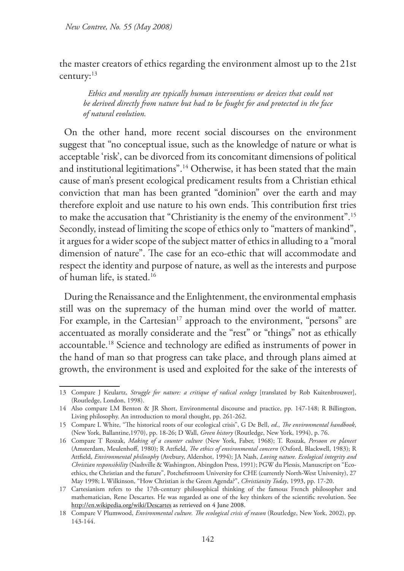the master creators of ethics regarding the environment almost up to the 21st century:13

*Ethics and morality are typically human interventions or devices that could not be derived directly from nature but had to be fought for and protected in the face of natural evolution.* 

On the other hand, more recent social discourses on the environment suggest that "no conceptual issue, such as the knowledge of nature or what is acceptable 'risk', can be divorced from its concomitant dimensions of political and institutional legitimations".14 Otherwise, it has been stated that the main cause of man's present ecological predicament results from a Christian ethical conviction that man has been granted "dominion" over the earth and may therefore exploit and use nature to his own ends. This contribution first tries to make the accusation that "Christianity is the enemy of the environment".15 Secondly, instead of limiting the scope of ethics only to "matters of mankind", it argues for a wider scope of the subject matter of ethics in alluding to a "moral dimension of nature". The case for an eco-ethic that will accommodate and respect the identity and purpose of nature, as well as the interests and purpose of human life, is stated.16

During the Renaissance and the Enlightenment, the environmental emphasis still was on the supremacy of the human mind over the world of matter. For example, in the Cartesian<sup>17</sup> approach to the environment, "persons" are accentuated as morally considerate and the "rest" or "things" not as ethically accountable.18 Science and technology are edified as instruments of power in the hand of man so that progress can take place, and through plans aimed at growth, the environment is used and exploited for the sake of the interests of

<sup>13</sup> Compare J Keulartz, *Struggle for nature: a critique of radical ecology* [translated by Rob Kuitenbrouwer], (Routledge, London, 1998).

<sup>14</sup> Also compare LM Benton & JR Short, Environmental discourse and practice, pp. 147-148; R Billington, Living philosophy. An introduction to moral thought, pp. 261-262.

<sup>15</sup> Compare L White, "The historical roots of our ecological crisis", G De Bell, *ed*., *The environmental handbook*, (New York, Ballantine,1970), pp. 18-26; D Wall, *Green history* (Routledge, New York, 1994), p. 76.

<sup>16</sup> Compare T Roszak, *Making of a counter culture* (New York, Faber, 1968); T. Roszak, *Persoon en planeet*  (Amsterdam, Meulenhoff, 1980); R Attfield, *The ethics of environmental concern* (Oxford, Blackwell, 1983); R Attfield, *Environmental philosophy* (Avebury, Aldershot, 1994); JA Nash, *Loving nature. Ecological integrity and Christian responsibility* (Nashville & Washington, Abingdon Press, 1991); PGW du Plessis, Manuscript on "Ecoethics, the Christian and the future", Potchefstroom University for CHE (currently North-West University), 27 May 1998; L Wilkinson, "How Christian is the Green Agenda?", *Christianity Today*, 1993, pp. 17-20.

<sup>17</sup> Cartesianism refers to the 17th-century philosophical thinking of the famous French philosopher and mathematician, Rene Descartes. He was regarded as one of the key thinkers of the scientific revolution. See http://en.wikipedia.org/wiki/Descartes as retrieved on 4 June 2008.

<sup>18</sup> Compare V Plumwood, *Environmental culture. The ecological crisis of reason* (Routledge, New York, 2002), pp. 143-144.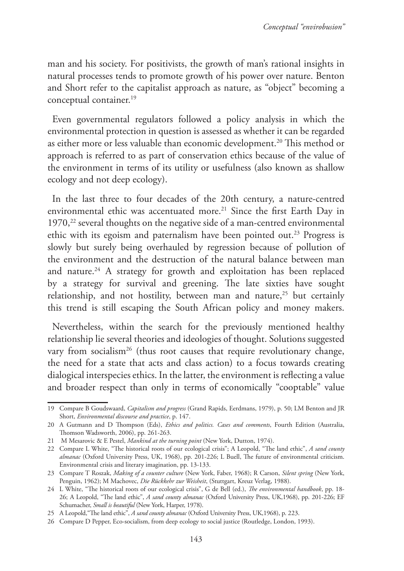man and his society. For positivists, the growth of man's rational insights in natural processes tends to promote growth of his power over nature. Benton and Short refer to the capitalist approach as nature, as "object" becoming a conceptual container.<sup>19</sup>

Even governmental regulators followed a policy analysis in which the environmental protection in question is assessed as whether it can be regarded as either more or less valuable than economic development.20 This method or approach is referred to as part of conservation ethics because of the value of the environment in terms of its utility or usefulness (also known as shallow ecology and not deep ecology).

In the last three to four decades of the 20th century, a nature-centred environmental ethic was accentuated more.<sup>21</sup> Since the first Earth Day in  $1970$ ,<sup>22</sup> several thoughts on the negative side of a man-centred environmental ethic with its egoism and paternalism have been pointed out.<sup>23</sup> Progress is slowly but surely being overhauled by regression because of pollution of the environment and the destruction of the natural balance between man and nature.<sup>24</sup> A strategy for growth and exploitation has been replaced by a strategy for survival and greening. The late sixties have sought relationship, and not hostility, between man and nature, $25$  but certainly this trend is still escaping the South African policy and money makers.

Nevertheless, within the search for the previously mentioned healthy relationship lie several theories and ideologies of thought. Solutions suggested vary from socialism<sup>26</sup> (thus root causes that require revolutionary change, the need for a state that acts and class action) to a focus towards creating dialogical interspecies ethics. In the latter, the environment is reflecting a value and broader respect than only in terms of economically "cooptable" value

<sup>19</sup> Compare B Goudswaard, *Capitalism and progress* (Grand Rapids, Eerdmans, 1979), p. 50; LM Benton and JR Short, *Environmental discourse and practice*, p. 147.

<sup>20</sup> A Gutmann and D Thompson (Eds), *Ethics and politics. Cases and comments*, Fourth Edition (Australia, Thomson Wadsworth, 2006), pp. 261-263.

<sup>21</sup> M Mesarovic & E Pestel, *Mankind at the turning point* (New York, Dutton, 1974).

<sup>22</sup> Compare L White, "The historical roots of our ecological crisis"; A Leopold, "The land ethic", *A sand county almanac* (Oxford University Press, UK, 1968), pp. 201-226; L Buell, The future of environmental criticism. Environmental crisis and literary imagination, pp. 13-133.

<sup>23</sup> Compare T Roszak, *Making of a counter culture* (New York, Faber, 1968); R Carson, *Silent spring* (New York, Penguin, 1962); M Machovec, *Die Rückkehr zur Weisheit*, (Stuttgart, Kreuz Verlag, 1988).

<sup>24</sup> L White, "The historical roots of our ecological crisis", G de Bell (ed.), *The environmental handbook*, pp. 18- 26; A Leopold, "The land ethic", *A sand county almanac* (Oxford University Press, UK,1968), pp. 201-226; EF Schumacher, *Small is beautiful* (New York, Harper, 1978).

<sup>25</sup> A Leopold,"The land ethic", *A sand county almanac* (Oxford University Press, UK,1968), p. 223.

<sup>26</sup> Compare D Pepper, Eco-socialism, from deep ecology to social justice (Routledge, London, 1993).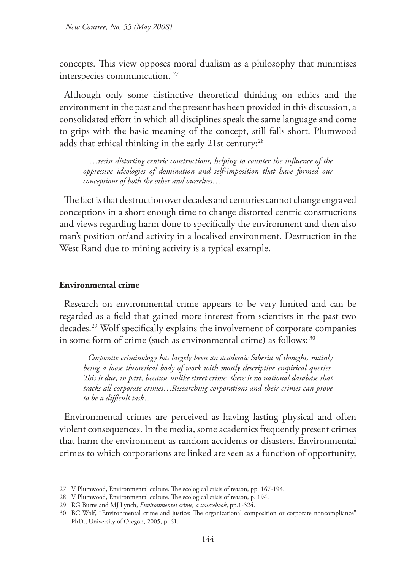concepts. This view opposes moral dualism as a philosophy that minimises interspecies communication. 27

Although only some distinctive theoretical thinking on ethics and the environment in the past and the present has been provided in this discussion, a consolidated effort in which all disciplines speak the same language and come to grips with the basic meaning of the concept, still falls short. Plumwood adds that ethical thinking in the early 21st century:<sup>28</sup>

…*resist distorting centric constructions, helping to counter the influence of the oppressive ideologies of domination and self-imposition that have formed our conceptions of both the other and ourselves*…

The fact is that destruction over decades and centuries cannot change engraved conceptions in a short enough time to change distorted centric constructions and views regarding harm done to specifically the environment and then also man's position or/and activity in a localised environment. Destruction in the West Rand due to mining activity is a typical example.

#### **Environmental crime**

Research on environmental crime appears to be very limited and can be regarded as a field that gained more interest from scientists in the past two decades.29 Wolf specifically explains the involvement of corporate companies in some form of crime (such as environmental crime) as follows: 30

*Corporate criminology has largely been an academic Siberia of thought, mainly being a loose theoretical body of work with mostly descriptive empirical queries. This is due, in part, because unlike street crime, there is no national database that tracks all corporate crimes*…*Researching corporations and their crimes can prove to be a difficult task*…

Environmental crimes are perceived as having lasting physical and often violent consequences. In the media, some academics frequently present crimes that harm the environment as random accidents or disasters. Environmental crimes to which corporations are linked are seen as a function of opportunity,

<sup>27</sup> V Plumwood, Environmental culture. The ecological crisis of reason, pp. 167-194.

<sup>28</sup> V Plumwood, Environmental culture. The ecological crisis of reason, p. 194.

<sup>29</sup> RG Burns and MJ Lynch, *Environmental crime, a sourcebook*, pp.1-324.

<sup>30</sup> BC Wolf, "Environmental crime and justice: The organizational composition or corporate noncompliance" PhD., University of Oregon, 2005, p. 61.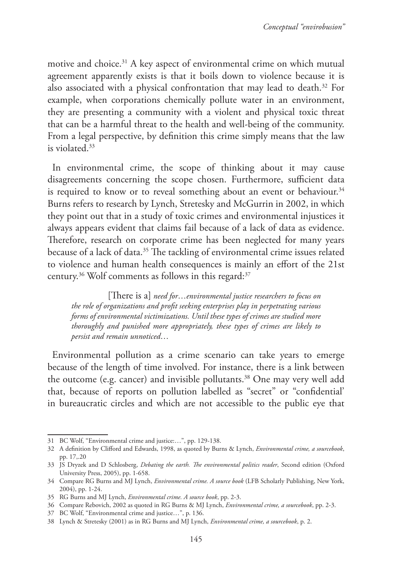motive and choice.<sup>31</sup> A key aspect of environmental crime on which mutual agreement apparently exists is that it boils down to violence because it is also associated with a physical confrontation that may lead to death.<sup>32</sup> For example, when corporations chemically pollute water in an environment, they are presenting a community with a violent and physical toxic threat that can be a harmful threat to the health and well-being of the community. From a legal perspective, by definition this crime simply means that the law is violated.33

In environmental crime, the scope of thinking about it may cause disagreements concerning the scope chosen. Furthermore, sufficient data is required to know or to reveal something about an event or behaviour.<sup>34</sup> Burns refers to research by Lynch, Stretesky and McGurrin in 2002, in which they point out that in a study of toxic crimes and environmental injustices it always appears evident that claims fail because of a lack of data as evidence. Therefore, research on corporate crime has been neglected for many years because of a lack of data.35 The tackling of environmental crime issues related to violence and human health consequences is mainly an effort of the 21st century.36 Wolf comments as follows in this regard:37

[There is a] *need for*…*environmental justice researchers to focus on the role of organizations and profit seeking enterprises play in perpetrating various forms of environmental victimizations. Until these types of crimes are studied more thoroughly and punished more appropriately, these types of crimes are likely to persist and remain unnoticed*…

Environmental pollution as a crime scenario can take years to emerge because of the length of time involved. For instance, there is a link between the outcome (e.g. cancer) and invisible pollutants.<sup>38</sup> One may very well add that, because of reports on pollution labelled as "secret" or "confidential' in bureaucratic circles and which are not accessible to the public eye that

<sup>31</sup> BC Wolf, "Environmental crime and justice:…", pp. 129-138.

<sup>32</sup> A definition by Clifford and Edwards, 1998, as quoted by Burns & Lynch, *Environmental crime, a sourcebook*, pp. 17,.20

<sup>33</sup> JS Dryzek and D Schlosberg, *Debating the earth. The environmental politics reader*, Second edition (Oxford University Press, 2005), pp. 1-658.

<sup>34</sup> Compare RG Burns and MJ Lynch, *Environmental crime. A source book* (LFB Scholarly Publishing, New York, 2004), pp. 1-24.

<sup>35</sup> RG Burns and MJ Lynch, *Environmental crime. A source book*, pp. 2-3.

<sup>36</sup> Compare Rebovich, 2002 as quoted in RG Burns & MJ Lynch, *Environmental crime, a sourcebook*, pp. 2-3.

<sup>37</sup> BC Wolf, "Environmental crime and justice…", p. 136.

<sup>38</sup> Lynch & Stretesky (2001) as in RG Burns and MJ Lynch, *Environmental crime, a sourcebook*, p. 2.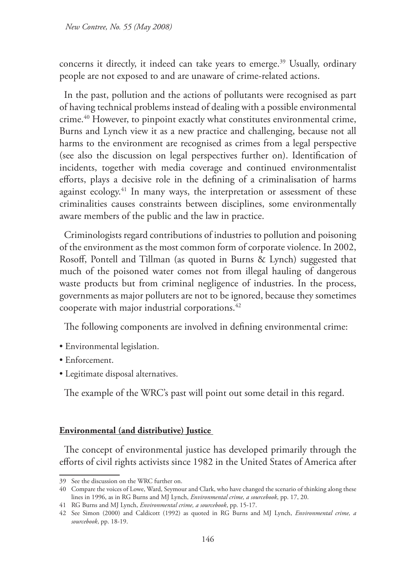concerns it directly, it indeed can take years to emerge.<sup>39</sup> Usually, ordinary people are not exposed to and are unaware of crime-related actions.

In the past, pollution and the actions of pollutants were recognised as part of having technical problems instead of dealing with a possible environmental crime.40 However, to pinpoint exactly what constitutes environmental crime, Burns and Lynch view it as a new practice and challenging, because not all harms to the environment are recognised as crimes from a legal perspective (see also the discussion on legal perspectives further on). Identification of incidents, together with media coverage and continued environmentalist efforts, plays a decisive role in the defining of a criminalisation of harms against ecology.<sup>41</sup> In many ways, the interpretation or assessment of these criminalities causes constraints between disciplines, some environmentally aware members of the public and the law in practice.

Criminologists regard contributions of industries to pollution and poisoning of the environment as the most common form of corporate violence. In 2002, Rosoff, Pontell and Tillman (as quoted in Burns & Lynch) suggested that much of the poisoned water comes not from illegal hauling of dangerous waste products but from criminal negligence of industries. In the process, governments as major polluters are not to be ignored, because they sometimes cooperate with major industrial corporations.42

The following components are involved in defining environmental crime:

- Environmental legislation.
- Enforcement.
- Legitimate disposal alternatives.

The example of the WRC's past will point out some detail in this regard.

### **Environmental (and distributive) Justice**

The concept of environmental justice has developed primarily through the efforts of civil rights activists since 1982 in the United States of America after

<sup>39</sup> See the discussion on the WRC further on.

<sup>40</sup> Compare the voices of Lowe, Ward, Seymour and Clark, who have changed the scenario of thinking along these lines in 1996, as in RG Burns and MJ Lynch, *Environmental crime, a sourcebook*, pp. 17, 20.

<sup>41</sup> RG Burns and MJ Lynch, *Environmental crime, a sourcebook*, pp. 15-17.

<sup>42</sup> See Simon (2000) and Caldicott (1992) as quoted in RG Burns and MJ Lynch, *Environmental crime, a sourcebook*, pp. 18-19.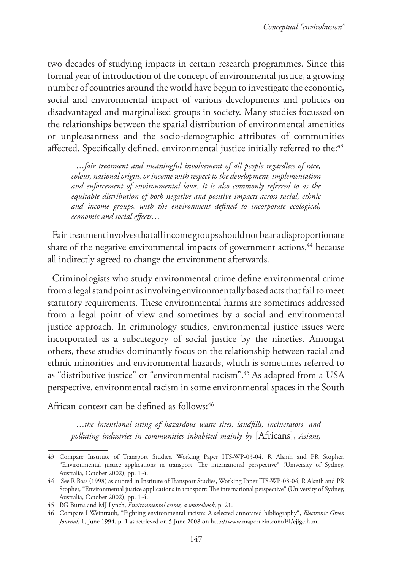two decades of studying impacts in certain research programmes. Since this formal year of introduction of the concept of environmental justice, a growing number of countries around the world have begun to investigate the economic, social and environmental impact of various developments and policies on disadvantaged and marginalised groups in society. Many studies focussed on the relationships between the spatial distribution of environmental amenities or unpleasantness and the socio-demographic attributes of communities affected. Specifically defined, environmental justice initially referred to the:<sup>43</sup>

…*fair treatment and meaningful involvement of all people regardless of race, colour, national origin, or income with respect to the development, implementation and enforcement of environmental laws. It is also commonly referred to as the equitable distribution of both negative and positive impacts across racial, ethnic and income groups, with the environment defined to incorporate ecological, economic and social effects*…

Fair treatment involves that all income groups should not bear a disproportionate share of the negative environmental impacts of government actions,<sup>44</sup> because all indirectly agreed to change the environment afterwards.

Criminologists who study environmental crime define environmental crime from a legal standpoint as involving environmentally based acts that fail to meet statutory requirements. These environmental harms are sometimes addressed from a legal point of view and sometimes by a social and environmental justice approach. In criminology studies, environmental justice issues were incorporated as a subcategory of social justice by the nineties. Amongst others, these studies dominantly focus on the relationship between racial and ethnic minorities and environmental hazards, which is sometimes referred to as "distributive justice" or "environmental racism".45 As adapted from a USA perspective, environmental racism in some environmental spaces in the South

African context can be defined as follows:<sup>46</sup>

…*the intentional siting of hazardous waste sites, landfills, incinerators, and polluting industries in communities inhabited mainly by* [Africans], *Asians,* 

<sup>43</sup> Compare Institute of Transport Studies, Working Paper ITS-WP-03-04, R Alsnih and PR Stopher, "Environmental justice applications in transport: The international perspective" (University of Sydney, Australia, October 2002), pp. 1-4.

<sup>44</sup> See R Bass (1998) as quoted in Institute of Transport Studies, Working Paper ITS-WP-03-04, R Alsnih and PR Stopher, "Environmental justice applications in transport: The international perspective" (University of Sydney, Australia, October 2002), pp. 1-4.

<sup>45</sup> RG Burns and MJ Lynch, *Environmental crime, a sourcebook*, p. 21.

<sup>46</sup> Compare I Weintraub, "Fighting environmental racism: A selected annotated bibliography", *Electronic Green Journal*, 1, June 1994, p. 1 as retrieved on 5 June 2008 on http://www.mapcruzin.com/EI/ejigc.html.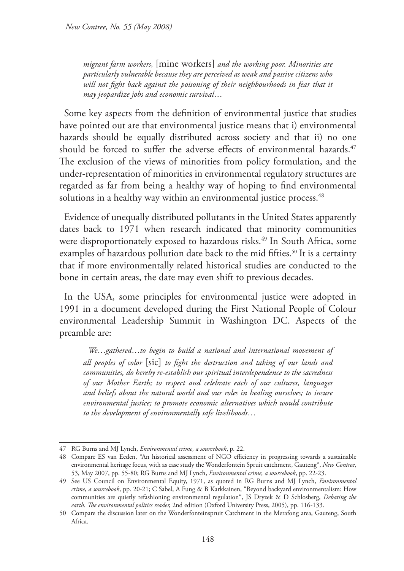*migrant farm workers,* [mine workers] *and the working poor. Minorities are particularly vulnerable because they are perceived as weak and passive citizens who*  will not fight back against the poisoning of their neighbourhoods in fear that it *may jeopardize jobs and economic survival*…

Some key aspects from the definition of environmental justice that studies have pointed out are that environmental justice means that i) environmental hazards should be equally distributed across society and that ii) no one should be forced to suffer the adverse effects of environmental hazards.<sup>47</sup> The exclusion of the views of minorities from policy formulation, and the under-representation of minorities in environmental regulatory structures are regarded as far from being a healthy way of hoping to find environmental solutions in a healthy way within an environmental justice process.<sup>48</sup>

Evidence of unequally distributed pollutants in the United States apparently dates back to 1971 when research indicated that minority communities were disproportionately exposed to hazardous risks.<sup>49</sup> In South Africa, some examples of hazardous pollution date back to the mid fifties. <sup>50</sup> It is a certainty that if more environmentally related historical studies are conducted to the bone in certain areas, the date may even shift to previous decades.

In the USA, some principles for environmental justice were adopted in 1991 in a document developed during the First National People of Colour environmental Leadership Summit in Washington DC. Aspects of the preamble are:

*We*…*gathered*…*to begin to build a national and international movement of all peoples of color* [sic] *to fight the destruction and taking of our lands and communities, do hereby re-establish our spiritual interdependence to the sacredness of our Mother Earth; to respect and celebrate each of our cultures, languages and beliefs about the natural world and our roles in healing ourselves; to insure environmental justice; to promote economic alternatives which would contribute to the development of environmentally safe livelihoods*…

<sup>47</sup> RG Burns and MJ Lynch, *Environmental crime, a sourcebook*, p. 22.

<sup>48</sup> Compare ES van Eeden, "An historical assessment of NGO efficiency in progressing towards a sustainable environmental heritage focus, with as case study the Wonderfontein Spruit catchment, Gauteng", *New Contree*, 53, May 2007, pp. 55-80; RG Burns and MJ Lynch, *Environmental crime, a sourcebook*, pp. 22-23.

<sup>49</sup> See US Council on Environmental Equity, 1971, as quoted in RG Burns and MJ Lynch, *Environmental crime, a sourcebook*, pp. 20-21; C Sabel, A Fung & B Karkkainen, "Beyond backyard environmentalism: How communities are quietly refashioning environmental regulation", JS Dryzek & D Schlosberg, *Debating the earth. The environmental politics reader,* 2nd edition (Oxford University Press, 2005), pp. 116-133.

<sup>50</sup> Compare the discussion later on the Wonderfonteinspruit Catchment in the Merafong area, Gauteng, South Africa.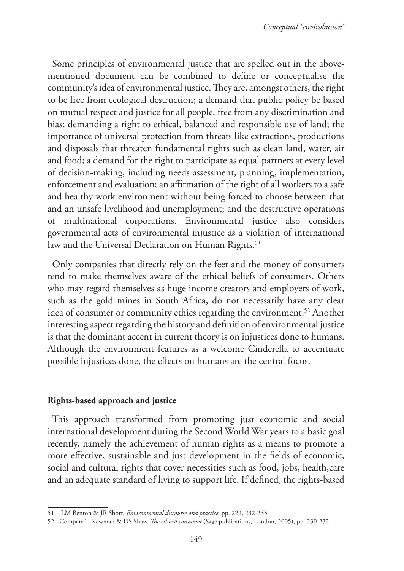Some principles of environmental justice that are spelled out in the abovementioned document can be combined to define or conceptualise the community's idea of environmental justice. They are, amongst others, the right to be free from ecological destruction; a demand that public policy be based on mutual respect and justice for all people, free from any discrimination and bias; demanding a right to ethical, balanced and responsible use of land; the importance of universal protection from threats like extractions, productions and disposals that threaten fundamental rights such as clean land, water, air and food; a demand for the right to participate as equal partners at every level of decision-making, including needs assessment, planning, implementation, enforcement and evaluation; an affirmation of the right of all workers to a safe and healthy work environment without being forced to choose between that and an unsafe livelihood and unemployment; and the destructive operations of multinational corporations. Environmental justice also considers governmental acts of environmental injustice as a violation of international law and the Universal Declaration on Human Rights.<sup>51</sup>

Only companies that directly rely on the feet and the money of consumers tend to make themselves aware of the ethical beliefs of consumers. Others who may regard themselves as huge income creators and employers of work, such as the gold mines in South Africa, do not necessarily have any clear idea of consumer or community ethics regarding the environment.<sup>52</sup> Another interesting aspect regarding the history and definition of environmental justice is that the dominant accent in current theory is on injustices done to humans. Although the environment features as a welcome Cinderella to accentuate possible injustices done, the effects on humans are the central focus.

### **Rights-based approach and justice**

This approach transformed from promoting just economic and social international development during the Second World War years to a basic goal recently, namely the achievement of human rights as a means to promote a more effective, sustainable and just development in the fields of economic, social and cultural rights that cover necessities such as food, jobs, health,care and an adequate standard of living to support life. If defined, the rights-based

<sup>51</sup> LM Benton & JR Short, *Environmental discourse and practice*, pp. 222, 232-233.

<sup>52</sup> Compare T Newman & DS Shaw, *The ethical consumer* (Sage publications, London, 2005), pp. 230-232.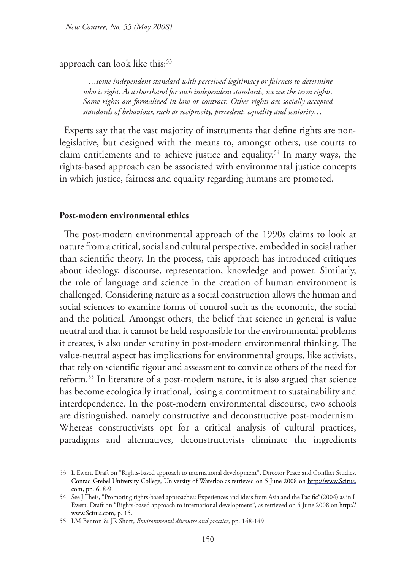approach can look like this:<sup>53</sup>

…*some independent standard with perceived legitimacy or fairness to determine who is right. As a shorthand for such independent standards, we use the term rights. Some rights are formalized in law or contract. Other rights are socially accepted standards of behaviour, such as reciprocity, precedent, equality and seniority*…

Experts say that the vast majority of instruments that define rights are nonlegislative, but designed with the means to, amongst others, use courts to claim entitlements and to achieve justice and equality.<sup>54</sup> In many ways, the rights-based approach can be associated with environmental justice concepts in which justice, fairness and equality regarding humans are promoted.

#### **Post-modern environmental ethics**

The post-modern environmental approach of the 1990s claims to look at nature from a critical, social and cultural perspective, embedded in social rather than scientific theory. In the process, this approach has introduced critiques about ideology, discourse, representation, knowledge and power. Similarly, the role of language and science in the creation of human environment is challenged. Considering nature as a social construction allows the human and social sciences to examine forms of control such as the economic, the social and the political. Amongst others, the belief that science in general is value neutral and that it cannot be held responsible for the environmental problems it creates, is also under scrutiny in post-modern environmental thinking. The value-neutral aspect has implications for environmental groups, like activists, that rely on scientific rigour and assessment to convince others of the need for reform.55 In literature of a post-modern nature, it is also argued that science has become ecologically irrational, losing a commitment to sustainability and interdependence. In the post-modern environmental discourse, two schools are distinguished, namely constructive and deconstructive post-modernism. Whereas constructivists opt for a critical analysis of cultural practices, paradigms and alternatives, deconstructivists eliminate the ingredients

<sup>53</sup> L Ewert, Draft on "Rights-based approach to international development", Director Peace and Conflict Studies, Conrad Grebel University College, University of Waterloo as retrieved on 5 June 2008 on http://www.Scirus. com, pp. 6, 8-9.

<sup>54</sup> See J Theis, "Promoting rights-based approaches: Experiences and ideas from Asia and the Pacific"(2004) as in L Ewert, Draft on "Rights-based approach to international development", as retrieved on 5 June 2008 on http:// www.Scirus.com, p. 15.

<sup>55</sup> LM Benton & JR Short, *Environmental discourse and practice*, pp. 148-149.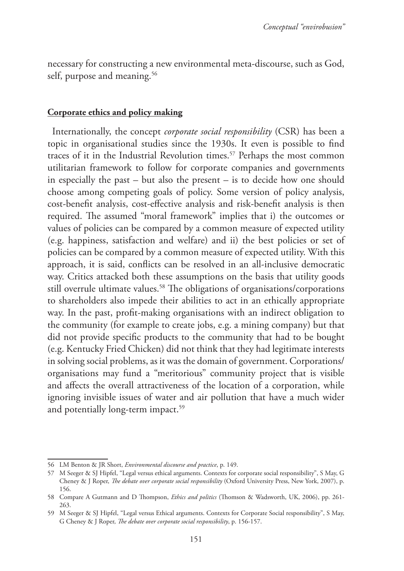necessary for constructing a new environmental meta-discourse, such as God, self, purpose and meaning.<sup>56</sup>

### **Corporate ethics and policy making**

Internationally, the concept *corporate social responsibility* (CSR) has been a topic in organisational studies since the 1930s. It even is possible to find traces of it in the Industrial Revolution times.<sup>57</sup> Perhaps the most common utilitarian framework to follow for corporate companies and governments in especially the past – but also the present – is to decide how one should choose among competing goals of policy. Some version of policy analysis, cost-benefit analysis, cost-effective analysis and risk-benefit analysis is then required. The assumed "moral framework" implies that i) the outcomes or values of policies can be compared by a common measure of expected utility (e.g. happiness, satisfaction and welfare) and ii) the best policies or set of policies can be compared by a common measure of expected utility. With this approach, it is said, conflicts can be resolved in an all-inclusive democratic way. Critics attacked both these assumptions on the basis that utility goods still overrule ultimate values.<sup>58</sup> The obligations of organisations/corporations to shareholders also impede their abilities to act in an ethically appropriate way. In the past, profit-making organisations with an indirect obligation to the community (for example to create jobs, e.g. a mining company) but that did not provide specific products to the community that had to be bought (e.g. Kentucky Fried Chicken) did not think that they had legitimate interests in solving social problems, as it was the domain of government. Corporations/ organisations may fund a "meritorious" community project that is visible and affects the overall attractiveness of the location of a corporation, while ignoring invisible issues of water and air pollution that have a much wider and potentially long-term impact.<sup>59</sup>

<sup>56</sup> LM Benton & JR Short, *Environmental discourse and practice*, p. 149.

<sup>57</sup> M Seeger & SJ Hipfel, "Legal versus ethical arguments. Contexts for corporate social responsibility", S May, G Cheney & J Roper, *The debate over corporate social responsibility* (Oxford University Press, New York, 2007), p. 156.

<sup>58</sup> Compare A Gutmann and D Thompson, *Ethics and politics* (Thomson & Wadsworth, UK, 2006), pp. 261- 263.

<sup>59</sup> M Seeger & SJ Hipfel, "Legal versus Ethical arguments. Contexts for Corporate Social responsibility", S May, G Cheney & J Roper, *The debate over corporate social responsibility*, p. 156-157.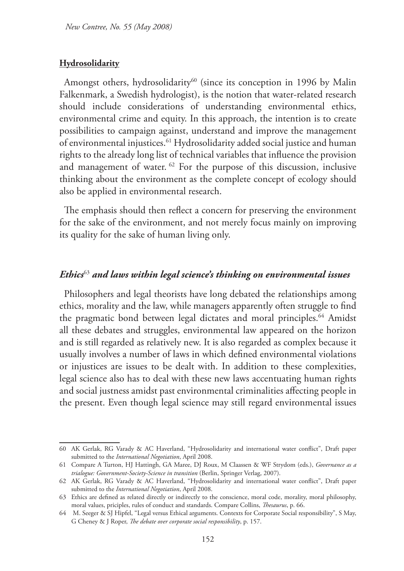#### **Hydrosolidarity**

Amongst others, hydrosolidarity<sup>60</sup> (since its conception in 1996 by Malin Falkenmark, a Swedish hydrologist), is the notion that water-related research should include considerations of understanding environmental ethics, environmental crime and equity. In this approach, the intention is to create possibilities to campaign against, understand and improve the management of environmental injustices.61 Hydrosolidarity added social justice and human rights to the already long list of technical variables that influence the provision and management of water. 62 For the purpose of this discussion, inclusive thinking about the environment as the complete concept of ecology should also be applied in environmental research.

The emphasis should then reflect a concern for preserving the environment for the sake of the environment, and not merely focus mainly on improving its quality for the sake of human living only.

#### *Ethics*<sup>63</sup> *and laws within legal science's thinking on environmental issues*

Philosophers and legal theorists have long debated the relationships among ethics, morality and the law, while managers apparently often struggle to find the pragmatic bond between legal dictates and moral principles.<sup>64</sup> Amidst all these debates and struggles, environmental law appeared on the horizon and is still regarded as relatively new. It is also regarded as complex because it usually involves a number of laws in which defined environmental violations or injustices are issues to be dealt with. In addition to these complexities, legal science also has to deal with these new laws accentuating human rights and social justness amidst past environmental criminalities affecting people in the present. Even though legal science may still regard environmental issues

<sup>60</sup> AK Gerlak, RG Varady & AC Haverland, "Hydrosolidarity and international water conflict", Draft paper submitted to the *International Negotiation*, April 2008.

<sup>61</sup> Compare A Turton, HJ Hattingh, GA Maree, DJ Roux, M Claassen & WF Strydom (eds.), *Governance as a trialogue: Government-Society-Science in transition* (Berlin, Springer Verlag, 2007).

<sup>62</sup> AK Gerlak, RG Varady & AC Haverland, "Hydrosolidarity and international water conflict", Draft paper submitted to the *International Negotiation*, April 2008.

<sup>63</sup> Ethics are defined as related directly or indirectly to the conscience, moral code, morality, moral philosophy, moral values, priciples, rules of conduct and standards. Compare Collins, *Thesaurus*, p. 66.

<sup>64</sup> M. Seeger & SJ Hipfel, "Legal versus Ethical arguments. Contexts for Corporate Social responsibility", S May, G Cheney & J Roper, *The debate over corporate social responsibility*, p. 157.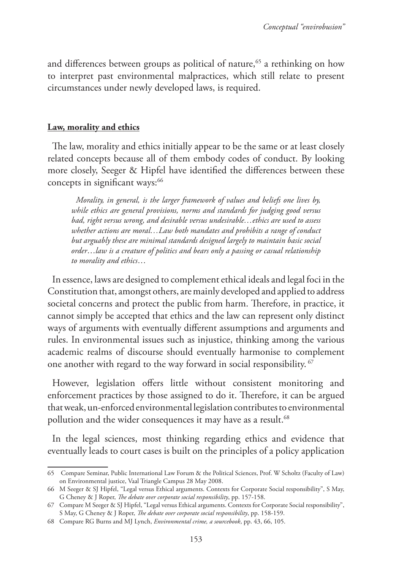and differences between groups as political of nature,<sup>65</sup> a rethinking on how to interpret past environmental malpractices, which still relate to present circumstances under newly developed laws, is required.

## **Law, morality and ethics**

The law, morality and ethics initially appear to be the same or at least closely related concepts because all of them embody codes of conduct. By looking more closely, Seeger & Hipfel have identified the differences between these concepts in significant ways:<sup>66</sup>

*Morality, in general, is the larger framework of values and beliefs one lives by, while ethics are general provisions, norms and standards for judging good versus bad, right versus wrong, and desirable versus undesirable…ethics are used to assess whether actions are moral…Law both mandates and prohibits a range of conduct but arguably these are minimal standards designed largely to maintain basic social order*…*law is a creature of politics and bears only a passing or casual relationship to morality and ethics*…

In essence, laws are designed to complement ethical ideals and legal foci in the Constitution that, amongst others, are mainly developed and applied to address societal concerns and protect the public from harm. Therefore, in practice, it cannot simply be accepted that ethics and the law can represent only distinct ways of arguments with eventually different assumptions and arguments and rules. In environmental issues such as injustice, thinking among the various academic realms of discourse should eventually harmonise to complement one another with regard to the way forward in social responsibility. 67

However, legislation offers little without consistent monitoring and enforcement practices by those assigned to do it. Therefore, it can be argued that weak, un-enforced environmental legislation contributes to environmental pollution and the wider consequences it may have as a result.<sup>68</sup>

In the legal sciences, most thinking regarding ethics and evidence that eventually leads to court cases is built on the principles of a policy application

<sup>65</sup> Compare Seminar, Public International Law Forum & the Political Sciences, Prof. W Scholtz (Faculty of Law) on Environmental justice, Vaal Triangle Campus 28 May 2008.

<sup>66</sup> M Seeger & SJ Hipfel, "Legal versus Ethical arguments. Contexts for Corporate Social responsibility", S May, G Cheney & J Roper, *The debate over corporate social responsibility*, pp. 157-158.

<sup>67</sup> Compare M Seeger & SJ Hipfel, "Legal versus Ethical arguments. Contexts for Corporate Social responsibility", S May, G Cheney & J Roper, *The debate over corporate social responsibility*, pp. 158-159.

<sup>68</sup> Compare RG Burns and MJ Lynch, *Environmental crime, a sourcebook*, pp. 43, 66, 105.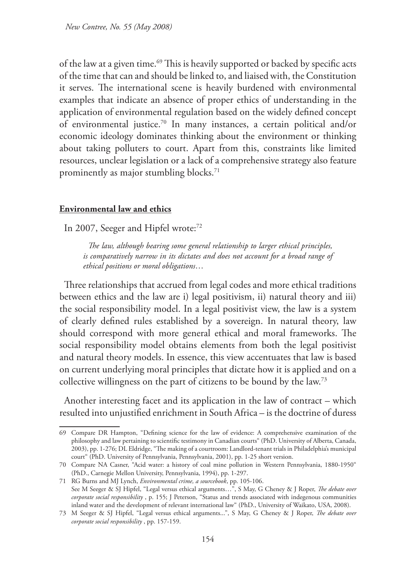of the law at a given time.69 This is heavily supported or backed by specific acts of the time that can and should be linked to, and liaised with, the Constitution it serves. The international scene is heavily burdened with environmental examples that indicate an absence of proper ethics of understanding in the application of environmental regulation based on the widely defined concept of environmental justice.70 In many instances, a certain political and/or economic ideology dominates thinking about the environment or thinking about taking polluters to court. Apart from this, constraints like limited resources, unclear legislation or a lack of a comprehensive strategy also feature prominently as major stumbling blocks.<sup>71</sup>

## **Environmental law and ethics**

In 2007, Seeger and Hipfel wrote:<sup>72</sup>

*The law, although bearing some general relationship to larger ethical principles, is comparatively narrow in its dictates and does not account for a broad range of ethical positions or moral obligations*…

Three relationships that accrued from legal codes and more ethical traditions between ethics and the law are i) legal positivism, ii) natural theory and iii) the social responsibility model. In a legal positivist view, the law is a system of clearly defined rules established by a sovereign. In natural theory, law should correspond with more general ethical and moral frameworks. The social responsibility model obtains elements from both the legal positivist and natural theory models. In essence, this view accentuates that law is based on current underlying moral principles that dictate how it is applied and on a collective willingness on the part of citizens to be bound by the law.73

Another interesting facet and its application in the law of contract – which resulted into unjustified enrichment in South Africa – is the doctrine of duress

<sup>69</sup> Compare DR Hampton, "Defining science for the law of evidence: A comprehensive examination of the philosophy and law pertaining to scientific testimony in Canadian courts" (PhD. University of Alberta, Canada, 2003), pp. 1-276; DL Eldridge, "The making of a courtroom: Landlord-tenant trials in Philadelphia's municipal court" (PhD. University of Pennsylvania, Pennsylvania, 2001), pp. 1-25 short version.

<sup>70</sup> Compare NA Casner, "Acid water: a history of coal mine pollution in Western Pennsylvania, 1880-1950" (PhD., Carnegie Mellon University, Pennsylvania, 1994), pp. 1-297.

<sup>71</sup> RG Burns and MJ Lynch, *Environmental crime, a sourcebook*, pp. 105-106. See M Seeger & SJ Hipfel, "Legal versus ethical arguments…", S May, G Cheney & J Roper, *The debate over corporate social responsibility* , p. 155; J Peterson, "Status and trends associated with indegenous communities inland water and the development of relevant international law" (PhD., University of Waikato, USA, 2008).

<sup>73</sup> M Seeger & SJ Hipfel, "Legal versus ethical arguments...", S May, G Cheney & J Roper, *The debate over corporate social responsibility* , pp. 157-159.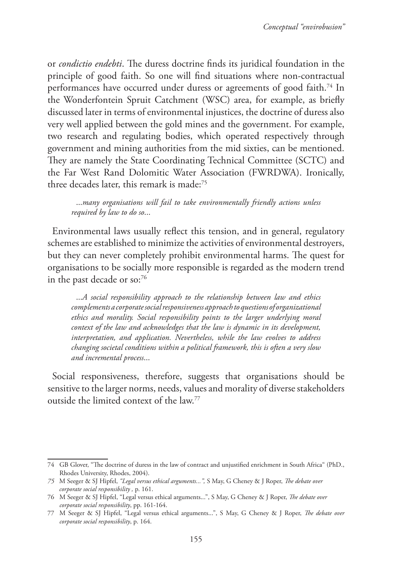or *condictio endebti*. The duress doctrine finds its juridical foundation in the principle of good faith. So one will find situations where non-contractual performances have occurred under duress or agreements of good faith.<sup>74</sup> In the Wonderfontein Spruit Catchment (WSC) area, for example, as briefly discussed later in terms of environmental injustices, the doctrine of duress also very well applied between the gold mines and the government. For example, two research and regulating bodies, which operated respectively through government and mining authorities from the mid sixties, can be mentioned. They are namely the State Coordinating Technical Committee (SCTC) and the Far West Rand Dolomitic Water Association (FWRDWA). Ironically, three decades later, this remark is made:75

...*many organisations will fail to take environmentally friendly actions unless required by law to do so*...

Environmental laws usually reflect this tension, and in general, regulatory schemes are established to minimize the activities of environmental destroyers, but they can never completely prohibit environmental harms. The quest for organisations to be socially more responsible is regarded as the modern trend in the past decade or so: $76$ 

...*A social responsibility approach to the relationship between law and ethics complements a corporate social responsiveness approach to questions of organizational ethics and morality. Social responsibility points to the larger underlying moral context of the law and acknowledges that the law is dynamic in its development, interpretation, and application. Nevertheless, while the law evolves to address changing societal conditions within a political framework, this is often a very slow and incremental process*...

Social responsiveness, therefore, suggests that organisations should be sensitive to the larger norms, needs, values and morality of diverse stakeholders outside the limited context of the law.77

<sup>74</sup> GB Glover, "The doctrine of duress in the law of contract and unjustified enrichment in South Africa" (PhD., Rhodes University, Rhodes, 2004).

*<sup>75</sup>* M Seeger & SJ Hipfel, *"Legal versus ethical arguments...",* S May, G Cheney & J Roper, *The debate over corporate social responsibility ,* p. 161.

<sup>76</sup> M Seeger & SJ Hipfel, "Legal versus ethical arguments...", S May, G Cheney & J Roper, *The debate over corporate social responsibility*, pp. 161-164.

<sup>77</sup> M Seeger & SJ Hipfel, "Legal versus ethical arguments...", S May, G Cheney & J Roper, *The debate over corporate social responsibility*, p. 164.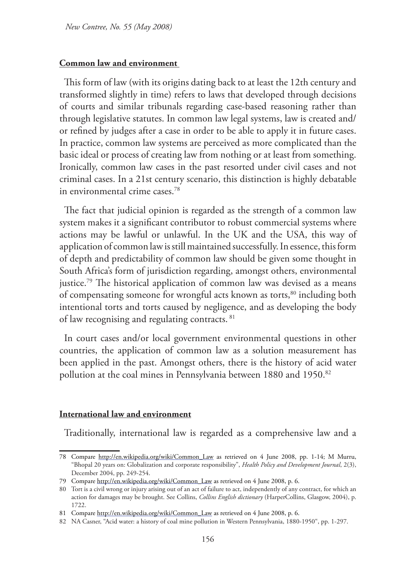#### **Common law and environment**

This form of law (with its origins dating back to at least the 12th century and transformed slightly in time) refers to laws that developed through decisions of courts and similar tribunals regarding case-based reasoning rather than through legislative statutes. In common law legal systems, law is created and/ or refined by judges after a case in order to be able to apply it in future cases. In practice, common law systems are perceived as more complicated than the basic ideal or process of creating law from nothing or at least from something. Ironically, common law cases in the past resorted under civil cases and not criminal cases. In a 21st century scenario, this distinction is highly debatable in environmental crime cases.78

The fact that judicial opinion is regarded as the strength of a common law system makes it a significant contributor to robust commercial systems where actions may be lawful or unlawful. In the UK and the USA, this way of application of common law is still maintained successfully. In essence, this form of depth and predictability of common law should be given some thought in South Africa's form of jurisdiction regarding, amongst others, environmental justice.<sup>79</sup> The historical application of common law was devised as a means of compensating someone for wrongful acts known as torts,<sup>80</sup> including both intentional torts and torts caused by negligence, and as developing the body of law recognising and regulating contracts. 81

In court cases and/or local government environmental questions in other countries, the application of common law as a solution measurement has been applied in the past. Amongst others, there is the history of acid water pollution at the coal mines in Pennsylvania between 1880 and 1950.<sup>82</sup>

#### **International law and environment**

Traditionally, international law is regarded as a comprehensive law and a

<sup>78</sup> Compare http://en.wikipedia.org/wiki/Common\_Law as retrieved on 4 June 2008, pp. 1-14; M Murru, "Bhopal 20 years on: Globalization and corporate responsibility", *Health Policy and Development Journal*, 2(3), December 2004, pp. 249-254.

<sup>79</sup> Compare http://en.wikipedia.org/wiki/Common\_Law as retrieved on 4 June 2008, p. 6.

<sup>80</sup> Tort is a civil wrong or injury arising out of an act of failure to act, independently of any contract, for which an action for damages may be brought. See Collins, *Collins English dictionary* (HarperCollins, Glasgow, 2004), p. 1722.

<sup>81</sup> Compare http://en.wikipedia.org/wiki/Common\_Law as retrieved on 4 June 2008, p. 6.

<sup>82</sup> NA Casner, "Acid water: a history of coal mine pollution in Western Pennsylvania, 1880-1950", pp. 1-297.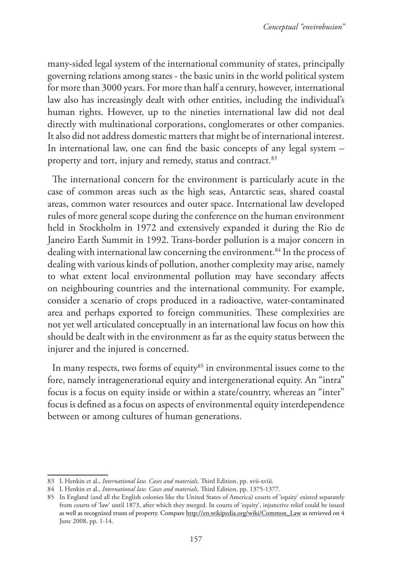many-sided legal system of the international community of states, principally governing relations among states - the basic units in the world political system for more than 3000 years. For more than half a century, however, international law also has increasingly dealt with other entities, including the individual's human rights. However, up to the nineties international law did not deal directly with multinational corporations, conglomerates or other companies. It also did not address domestic matters that might be of international interest. In international law, one can find the basic concepts of any legal system – property and tort, injury and remedy, status and contract.<sup>83</sup>

The international concern for the environment is particularly acute in the case of common areas such as the high seas, Antarctic seas, shared coastal areas, common water resources and outer space. International law developed rules of more general scope during the conference on the human environment held in Stockholm in 1972 and extensively expanded it during the Rio de Janeiro Earth Summit in 1992. Trans-border pollution is a major concern in dealing with international law concerning the environment.<sup>84</sup> In the process of dealing with various kinds of pollution, another complexity may arise, namely to what extent local environmental pollution may have secondary affects on neighbouring countries and the international community. For example, consider a scenario of crops produced in a radioactive, water-contaminated area and perhaps exported to foreign communities. These complexities are not yet well articulated conceptually in an international law focus on how this should be dealt with in the environment as far as the equity status between the injurer and the injured is concerned.

In many respects, two forms of equity<sup>85</sup> in environmental issues come to the fore, namely intragenerational equity and intergenerational equity. An "intra" focus is a focus on equity inside or within a state/country, whereas an "inter" focus is defined as a focus on aspects of environmental equity interdependence between or among cultures of human generations.

<sup>83</sup> L Henkin et al., *International law. Cases and materials*, Third Edition, pp. xvii-xviii.

<sup>84</sup> L Henkin et al., *International law. Cases and materials*, Third Edition, pp. 1375-1377.

<sup>85</sup> In England (and all the English colonies like the United States of America) courts of 'equity' existed separately from courts of 'law' until 1873, after which they merged. In courts of 'equity', injunctive relief could be issued as well as recognized trusts of property. Compare http://en.wikipedia.org/wiki/Common\_Law as retrieved on 4 June 2008, pp. 1-14.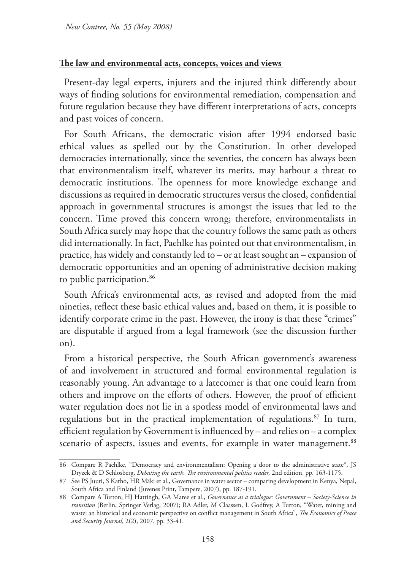### **The law and environmental acts, concepts, voices and views**

Present-day legal experts, injurers and the injured think differently about ways of finding solutions for environmental remediation, compensation and future regulation because they have different interpretations of acts, concepts and past voices of concern.

For South Africans, the democratic vision after 1994 endorsed basic ethical values as spelled out by the Constitution. In other developed democracies internationally, since the seventies, the concern has always been that environmentalism itself, whatever its merits, may harbour a threat to democratic institutions. The openness for more knowledge exchange and discussions as required in democratic structures versus the closed, confidential approach in governmental structures is amongst the issues that led to the concern. Time proved this concern wrong; therefore, environmentalists in South Africa surely may hope that the country follows the same path as others did internationally. In fact, Paehlke has pointed out that environmentalism, in practice, has widely and constantly led to – or at least sought an – expansion of democratic opportunities and an opening of administrative decision making to public participation.<sup>86</sup>

South Africa's environmental acts, as revised and adopted from the mid nineties, reflect these basic ethical values and, based on them, it is possible to identify corporate crime in the past. However, the irony is that these "crimes" are disputable if argued from a legal framework (see the discussion further on).

From a historical perspective, the South African government's awareness of and involvement in structured and formal environmental regulation is reasonably young. An advantage to a latecomer is that one could learn from others and improve on the efforts of others. However, the proof of efficient water regulation does not lie in a spotless model of environmental laws and regulations but in the practical implementation of regulations.<sup>87</sup> In turn, efficient regulation by Government is influenced by – and relies on – a complex scenario of aspects, issues and events, for example in water management.<sup>88</sup>

<sup>86</sup> Compare R Paehlke, "Democracy and environmentalism: Opening a door to the administrative state", JS Dryzek & D Schlosberg, *Debating the earth. The environmental politics reader,* 2nd edition, pp. 163-1175.

<sup>87</sup> See PS Juuti, S Katho, HR Mäki et al., Governance in water sector – comparing development in Kenya, Nepal, South Africa and Finland (Juvenes Print, Tampere, 2007), pp. 187-191.

<sup>88</sup> Compare A Turton, HJ Hattingh, GA Maree et al., *Governance as a trialogue: Government – Society-Science in transition* (Berlin, Springer Verlag, 2007); RA Adler, M Claassen, L Godfrey, A Turton, "Water, mining and waste: an historical and economic perspective on conflict management in South Africa", *The Economics of Peace and Security Journal*, 2(2), 2007, pp. 33-41.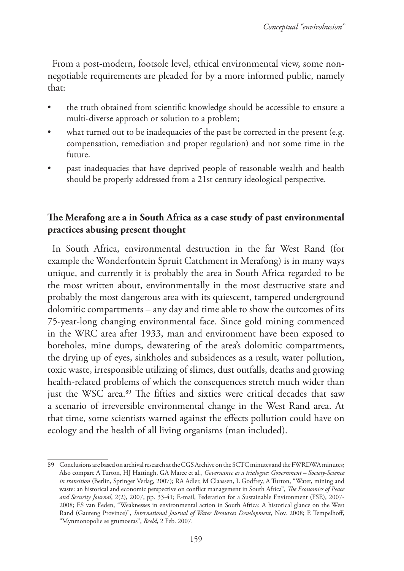From a post-modern, footsole level, ethical environmental view, some nonnegotiable requirements are pleaded for by a more informed public, namely that:

- the truth obtained from scientific knowledge should be accessible to ensure a multi-diverse approach or solution to a problem;
- what turned out to be inadequacies of the past be corrected in the present (e.g. compensation, remediation and proper regulation) and not some time in the future.
- past inadequacies that have deprived people of reasonable wealth and health should be properly addressed from a 21st century ideological perspective.

## **The Merafong are a in South Africa as a case study of past environmental practices abusing present thought**

In South Africa, environmental destruction in the far West Rand (for example the Wonderfontein Spruit Catchment in Merafong) is in many ways unique, and currently it is probably the area in South Africa regarded to be the most written about, environmentally in the most destructive state and probably the most dangerous area with its quiescent, tampered underground dolomitic compartments – any day and time able to show the outcomes of its 75-year-long changing environmental face. Since gold mining commenced in the WRC area after 1933, man and environment have been exposed to boreholes, mine dumps, dewatering of the area's dolomitic compartments, the drying up of eyes, sinkholes and subsidences as a result, water pollution, toxic waste, irresponsible utilizing of slimes, dust outfalls, deaths and growing health-related problems of which the consequences stretch much wider than just the WSC area.<sup>89</sup> The fifties and sixties were critical decades that saw a scenario of irreversible environmental change in the West Rand area. At that time, some scientists warned against the effects pollution could have on ecology and the health of all living organisms (man included).

<sup>89</sup> Conclusions are based on archival research at the CGS Archive on the SCTC minutes and the FWRDWA minutes; Also compare A Turton, HJ Hattingh, GA Maree et al., *Governance as a trialogue: Government – Society-Science in transition* (Berlin, Springer Verlag, 2007); RA Adler, M Claassen, L Godfrey, A Turton, "Water, mining and waste: an historical and economic perspective on conflict management in South Africa", *The Economics of Peace and Security Journal*, 2(2), 2007, pp. 33-41; E-mail, Federation for a Sustainable Environment (FSE), 2007- 2008; ES van Eeden, "Weaknesses in environmental action in South Africa: A historical glance on the West Rand (Gauteng Province)", *International Journal of Water Resources Development*, Nov. 2008; E Tempelhoff, "Mynmonopolie se grumoeras", *Beeld*, 2 Feb. 2007.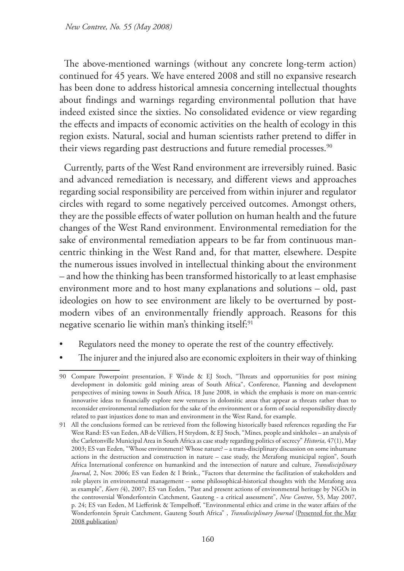The above-mentioned warnings (without any concrete long-term action) continued for 45 years. We have entered 2008 and still no expansive research has been done to address historical amnesia concerning intellectual thoughts about findings and warnings regarding environmental pollution that have indeed existed since the sixties. No consolidated evidence or view regarding the effects and impacts of economic activities on the health of ecology in this region exists. Natural, social and human scientists rather pretend to differ in their views regarding past destructions and future remedial processes.<sup>90</sup>

Currently, parts of the West Rand environment are irreversibly ruined. Basic and advanced remediation is necessary, and different views and approaches regarding social responsibility are perceived from within injurer and regulator circles with regard to some negatively perceived outcomes. Amongst others, they are the possible effects of water pollution on human health and the future changes of the West Rand environment. Environmental remediation for the sake of environmental remediation appears to be far from continuous mancentric thinking in the West Rand and, for that matter, elsewhere. Despite the numerous issues involved in intellectual thinking about the environment – and how the thinking has been transformed historically to at least emphasise environment more and to host many explanations and solutions – old, past ideologies on how to see environment are likely to be overturned by postmodern vibes of an environmentally friendly approach. Reasons for this negative scenario lie within man's thinking itself:<sup>91</sup>

- Regulators need the money to operate the rest of the country effectively.
- The injurer and the injured also are economic exploiters in their way of thinking

<sup>90</sup> Compare Powerpoint presentation, F Winde & EJ Stoch, "Threats and opportunities for post mining development in dolomitic gold mining areas of South Africa", Conference, Planning and development perspectives of mining towns in South Africa, 18 June 2008, in which the emphasis is more on man-centric innovative ideas to financially explore new ventures in dolomitic areas that appear as threats rather than to reconsider environmental remediation for the sake of the environment or a form of social responsibility directly related to past injustices done to man and environment in the West Rand, for example.

<sup>91</sup> All the conclusions formed can be retrieved from the following historically based references regarding the Far West Rand: ES van Eeden, AB de Villiers, H Strydom, & EJ Stoch, "Mines, people and sinkholes – an analysis of the Carletonville Municipal Area in South Africa as case study regarding politics of secrecy" *Historia*, 47(1), May 2003; ES van Eeden, "Whose environment? Whose nature? – a trans-disciplinary discussion on some inhumane actions in the destruction and construction in nature – case study, the Merafong municipal region", South Africa International conference on humankind and the intersection of nature and culture, *Transdisciplinary Journal*, 2, Nov. 2006; ES van Eeden & I Brink., "Factors that determine the facilitation of stakeholders and role players in environmental management – some philosophical-historical thoughts with the Merafong area as example", *Koers (*4), 2007; ES van Eeden, "Past and present actions of environmental heritage by NGOs in the controversial Wonderfontein Catchment, Gauteng - a critical assessment", *New Contree*, 53, May 2007, p. 24; ES van Eeden, M Liefferink & Tempelhoff, "Environmental ethics and crime in the water affairs of the Wonderfontein Spruit Catchment, Gauteng South Africa" , *Transdisciplinary Journal* (Presented for the May 2008 publication)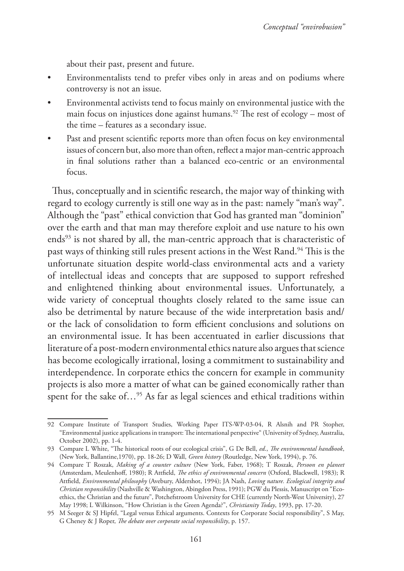about their past, present and future.

- Environmentalists tend to prefer vibes only in areas and on podiums where controversy is not an issue.
- Environmental activists tend to focus mainly on environmental justice with the main focus on injustices done against humans.<sup>92</sup> The rest of ecology – most of the time – features as a secondary issue.
- Past and present scientific reports more than often focus on key environmental issues of concern but, also more than often, reflect a major man-centric approach in final solutions rather than a balanced eco-centric or an environmental focus.

Thus, conceptually and in scientific research, the major way of thinking with regard to ecology currently is still one way as in the past: namely "man's way". Although the "past" ethical conviction that God has granted man "dominion" over the earth and that man may therefore exploit and use nature to his own ends<sup>93</sup> is not shared by all, the man-centric approach that is characteristic of past ways of thinking still rules present actions in the West Rand.<sup>94</sup> This is the unfortunate situation despite world-class environmental acts and a variety of intellectual ideas and concepts that are supposed to support refreshed and enlightened thinking about environmental issues. Unfortunately, a wide variety of conceptual thoughts closely related to the same issue can also be detrimental by nature because of the wide interpretation basis and/ or the lack of consolidation to form efficient conclusions and solutions on an environmental issue. It has been accentuated in earlier discussions that literature of a post-modern environmental ethics nature also argues that science has become ecologically irrational, losing a commitment to sustainability and interdependence. In corporate ethics the concern for example in community projects is also more a matter of what can be gained economically rather than spent for the sake of…95 As far as legal sciences and ethical traditions within

<sup>92</sup> Compare Institute of Transport Studies, Working Paper ITS-WP-03-04, R Alsnih and PR Stopher, "Environmental justice applications in transport: The international perspective" (University of Sydney, Australia, October 2002), pp. 1-4.

<sup>93</sup> Compare L White, "The historical roots of our ecological crisis", G De Bell, *ed*., *The environmental handbook*, (New York, Ballantine,1970), pp. 18-26; D Wall, *Green history* (Routledge, New York, 1994), p. 76.

<sup>94</sup> Compare T Roszak, *Making of a counter culture* (New York, Faber, 1968); T Roszak, *Persoon en planeet*  (Amsterdam, Meulenhoff, 1980); R Attfield, *The ethics of environmental concern* (Oxford, Blackwell, 1983); R Attfield, *Environmental philosophy* (Avebury, Aldershot, 1994); JA Nash, *Loving nature. Ecological integrity and Christian responsibility* (Nashville & Washington, Abingdon Press, 1991); PGW du Plessis, Manuscript on "Ecoethics, the Christian and the future", Potchefstroom University for CHE (currently North-West University), 27 May 1998; L Wilkinson, "How Christian is the Green Agenda?", *Christianity Today*, 1993, pp. 17-20.

<sup>95</sup> M Seeger & SJ Hipfel, "Legal versus Ethical arguments. Contexts for Corporate Social responsibility", S May, G Cheney & J Roper, *The debate over corporate social responsibility*, p. 157.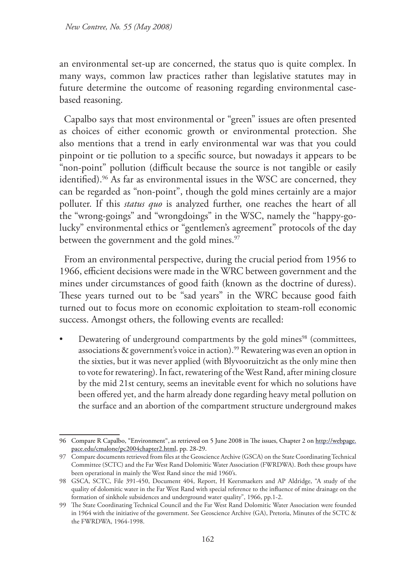an environmental set-up are concerned, the status quo is quite complex. In many ways, common law practices rather than legislative statutes may in future determine the outcome of reasoning regarding environmental casebased reasoning.

Capalbo says that most environmental or "green" issues are often presented as choices of either economic growth or environmental protection. She also mentions that a trend in early environmental war was that you could pinpoint or tie pollution to a specific source, but nowadays it appears to be "non-point" pollution (difficult because the source is not tangible or easily identified).<sup>96</sup> As far as environmental issues in the WSC are concerned, they can be regarded as "non-point", though the gold mines certainly are a major polluter. If this *status quo* is analyzed further, one reaches the heart of all the "wrong-goings" and "wrongdoings" in the WSC, namely the "happy-golucky" environmental ethics or "gentlemen's agreement" protocols of the day between the government and the gold mines.<sup>97</sup>

From an environmental perspective, during the crucial period from 1956 to 1966, efficient decisions were made in the WRC between government and the mines under circumstances of good faith (known as the doctrine of duress). These years turned out to be "sad years" in the WRC because good faith turned out to focus more on economic exploitation to steam-roll economic success. Amongst others, the following events are recalled:

Dewatering of underground compartments by the gold mines<sup>98</sup> (committees, associations  $\&$  government's voice in action).<sup>99</sup> Rewatering was even an option in the sixties, but it was never applied (with Blyvooruitzicht as the only mine then to vote for rewatering). In fact, rewatering of the West Rand, after mining closure by the mid 21st century, seems an inevitable event for which no solutions have been offered yet, and the harm already done regarding heavy metal pollution on the surface and an abortion of the compartment structure underground makes

<sup>96</sup> Compare R Capalbo, "Environment", as retrieved on 5 June 2008 in The issues, Chapter 2 on http://webpage. pace.edu/cmalone/pc2004chapter2.html, pp. 28-29.

<sup>97</sup> Compare documents retrieved from files at the Geoscience Archive (GSCA) on the State Coordinating Technical Committee (SCTC) and the Far West Rand Dolomitic Water Association (FWRDWA). Both these groups have been operational in mainly the West Rand since the mid 1960's.

<sup>98</sup> GSCA, SCTC, File 391-450, Document 404, Report, H Keersmaekers and AP Aldridge, "A study of the quality of dolomitic water in the Far West Rand with special reference to the influence of mine drainage on the formation of sinkhole subsidences and underground water quality", 1966, pp.1-2.

<sup>99</sup> The State Coordinating Technical Council and the Far West Rand Dolomitic Water Association were founded in 1964 with the initiative of the government. See Geoscience Archive (GA), Pretoria, Minutes of the SCTC & the FWRDWA, 1964-1998.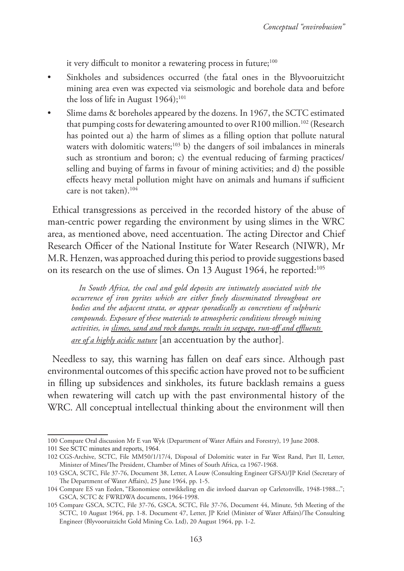it very difficult to monitor a rewatering process in future;<sup>100</sup>

- Sinkholes and subsidences occurred (the fatal ones in the Blyvooruitzicht mining area even was expected via seismologic and borehole data and before the loss of life in August  $1964$ ;<sup>101</sup>
- Slime dams & boreholes appeared by the dozens. In 1967, the SCTC estimated that pumping costs for dewatering amounted to over R100 million.<sup>102</sup> (Research has pointed out a) the harm of slimes as a filling option that pollute natural waters with dolomitic waters;<sup>103</sup> b) the dangers of soil imbalances in minerals such as strontium and boron; c) the eventual reducing of farming practices/ selling and buying of farms in favour of mining activities; and d) the possible effects heavy metal pollution might have on animals and humans if sufficient care is not taken).104

Ethical transgressions as perceived in the recorded history of the abuse of man-centric power regarding the environment by using slimes in the WRC area, as mentioned above, need accentuation. The acting Director and Chief Research Officer of the National Institute for Water Research (NIWR), Mr M.R. Henzen, was approached during this period to provide suggestions based on its research on the use of slimes. On 13 August 1964, he reported:<sup>105</sup>

 *In South Africa, the coal and gold deposits are intimately associated with the occurrence of iron pyrites which are either finely disseminated throughout ore bodies and the adjacent strata, or appear sporadically as concretions of sulphuric compounds. Exposure of these materials to atmospheric conditions through mining activities, in slimes, sand and rock dumps, results in seepage, run-off and effluents are of a highly acidic nature* [an accentuation by the author].

Needless to say, this warning has fallen on deaf ears since. Although past environmental outcomes of this specific action have proved not to be sufficient in filling up subsidences and sinkholes, its future backlash remains a guess when rewatering will catch up with the past environmental history of the WRC. All conceptual intellectual thinking about the environment will then

<sup>100</sup> Compare Oral discussion Mr E van Wyk (Department of Water Affairs and Forestry), 19 June 2008. 101 See SCTC minutes and reports, 1964.

<sup>102</sup> CGS-Archive, SCTC, File MM50/1/17/4, Disposal of Dolomitic water in Far West Rand, Part II, Letter, Minister of Mines/The President, Chamber of Mines of South Africa, ca 1967-1968.

<sup>103</sup> GSCA, SCTC, File 37-76, Document 38, Letter, A Louw (Consulting Engineer GFSA)/JP Kriel (Secretary of The Department of Water Affairs), 25 June 1964, pp. 1-5.

<sup>104</sup> Compare ES van Eeden, "Ekonomiese ontwikkeling en die invloed daarvan op Carletonville, 1948-1988..."; GSCA, SCTC & FWRDWA documents, 1964-1998.

<sup>105</sup> Compare GSCA, SCTC, File 37-76, GSCA, SCTC, File 37-76, Document 44, Minute, 5th Meeting of the SCTC, 10 August 1964, pp. 1-8. Document 47, Letter, JP Kriel (Minister of Water Affairs)/The Consulting Engineer (Blyvooruitzicht Gold Mining Co. Ltd), 20 August 1964, pp. 1-2.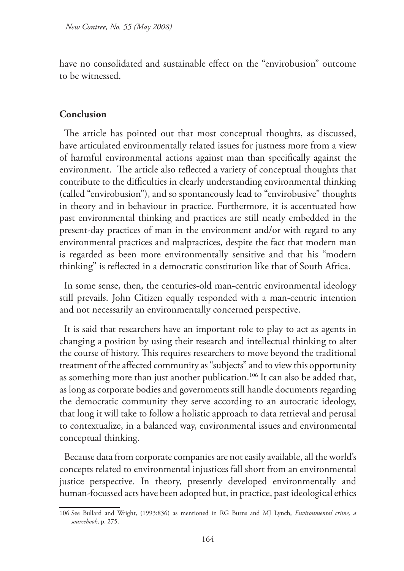have no consolidated and sustainable effect on the "envirobusion" outcome to be witnessed.

### **Conclusion**

The article has pointed out that most conceptual thoughts, as discussed, have articulated environmentally related issues for justness more from a view of harmful environmental actions against man than specifically against the environment. The article also reflected a variety of conceptual thoughts that contribute to the difficulties in clearly understanding environmental thinking (called "envirobusion"), and so spontaneously lead to "envirobusive" thoughts in theory and in behaviour in practice. Furthermore, it is accentuated how past environmental thinking and practices are still neatly embedded in the present-day practices of man in the environment and/or with regard to any environmental practices and malpractices, despite the fact that modern man is regarded as been more environmentally sensitive and that his "modern thinking" is reflected in a democratic constitution like that of South Africa.

In some sense, then, the centuries-old man-centric environmental ideology still prevails. John Citizen equally responded with a man-centric intention and not necessarily an environmentally concerned perspective.

It is said that researchers have an important role to play to act as agents in changing a position by using their research and intellectual thinking to alter the course of history. This requires researchers to move beyond the traditional treatment of the affected community as "subjects" and to view this opportunity as something more than just another publication.106 It can also be added that, as long as corporate bodies and governments still handle documents regarding the democratic community they serve according to an autocratic ideology, that long it will take to follow a holistic approach to data retrieval and perusal to contextualize, in a balanced way, environmental issues and environmental conceptual thinking.

Because data from corporate companies are not easily available, all the world's concepts related to environmental injustices fall short from an environmental justice perspective. In theory, presently developed environmentally and human-focussed acts have been adopted but, in practice, past ideological ethics

<sup>106</sup> See Bullard and Wright, (1993:836) as mentioned in RG Burns and MJ Lynch, *Environmental crime, a sourcebook*, p. 275.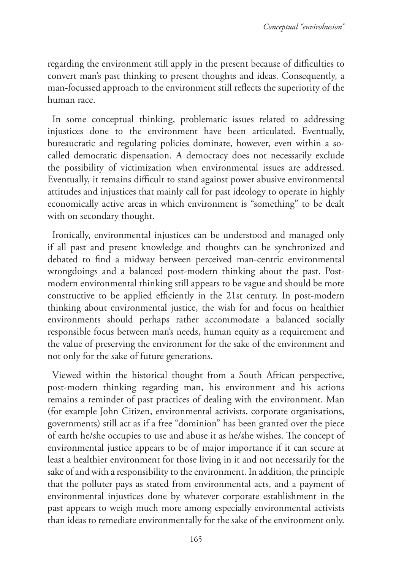regarding the environment still apply in the present because of difficulties to convert man's past thinking to present thoughts and ideas. Consequently, a man-focussed approach to the environment still reflects the superiority of the human race.

In some conceptual thinking, problematic issues related to addressing injustices done to the environment have been articulated. Eventually, bureaucratic and regulating policies dominate, however, even within a socalled democratic dispensation. A democracy does not necessarily exclude the possibility of victimization when environmental issues are addressed. Eventually, it remains difficult to stand against power abusive environmental attitudes and injustices that mainly call for past ideology to operate in highly economically active areas in which environment is "something" to be dealt with on secondary thought.

Ironically, environmental injustices can be understood and managed only if all past and present knowledge and thoughts can be synchronized and debated to find a midway between perceived man-centric environmental wrongdoings and a balanced post-modern thinking about the past. Postmodern environmental thinking still appears to be vague and should be more constructive to be applied efficiently in the 21st century. In post-modern thinking about environmental justice, the wish for and focus on healthier environments should perhaps rather accommodate a balanced socially responsible focus between man's needs, human equity as a requirement and the value of preserving the environment for the sake of the environment and not only for the sake of future generations.

Viewed within the historical thought from a South African perspective, post-modern thinking regarding man, his environment and his actions remains a reminder of past practices of dealing with the environment. Man (for example John Citizen, environmental activists, corporate organisations, governments) still act as if a free "dominion" has been granted over the piece of earth he/she occupies to use and abuse it as he/she wishes. The concept of environmental justice appears to be of major importance if it can secure at least a healthier environment for those living in it and not necessarily for the sake of and with a responsibility to the environment. In addition, the principle that the polluter pays as stated from environmental acts, and a payment of environmental injustices done by whatever corporate establishment in the past appears to weigh much more among especially environmental activists than ideas to remediate environmentally for the sake of the environment only.